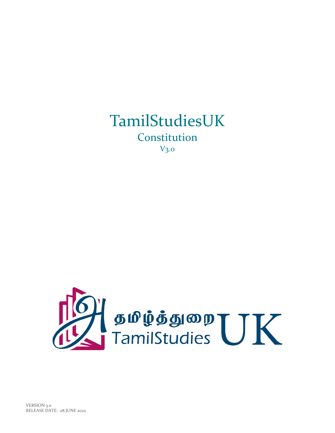

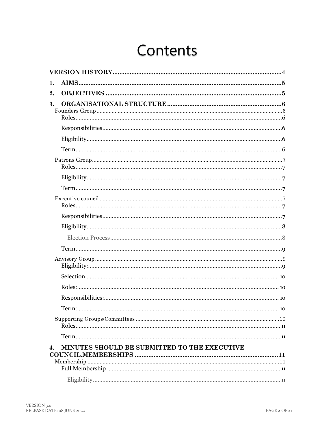# Contents

| 1. |                                              |  |
|----|----------------------------------------------|--|
| 2. |                                              |  |
| 3. |                                              |  |
|    |                                              |  |
|    |                                              |  |
|    |                                              |  |
|    |                                              |  |
|    |                                              |  |
|    |                                              |  |
|    |                                              |  |
|    |                                              |  |
|    |                                              |  |
|    |                                              |  |
|    |                                              |  |
|    |                                              |  |
|    |                                              |  |
|    |                                              |  |
|    |                                              |  |
|    |                                              |  |
|    |                                              |  |
|    |                                              |  |
| 4. | MINUTES SHOULD BE SUBMITTED TO THE EXECUTIVE |  |
|    |                                              |  |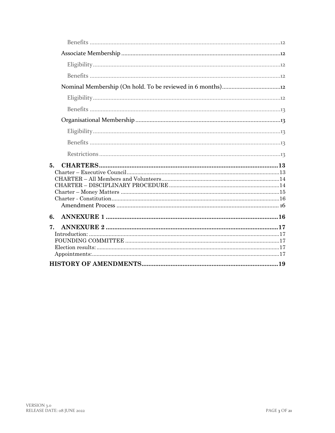| 5. |  |
|----|--|
| 6. |  |
| 7. |  |
|    |  |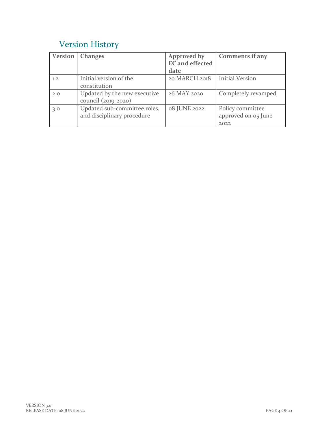# <span id="page-3-0"></span>Version History

| Version | <b>Changes</b>                                             | Approved by<br><b>EC</b> and effected | <b>Comments if any</b>                          |
|---------|------------------------------------------------------------|---------------------------------------|-------------------------------------------------|
|         |                                                            | date                                  |                                                 |
| 1.2     | Initial version of the<br>constitution                     | 20 MARCH 2018                         | <b>Initial Version</b>                          |
| 2.0     | Updated by the new executive<br>council (2019-2020)        | 26 MAY 2020                           | Completely revamped.                            |
| 3.0     | Updated sub-committee roles,<br>and disciplinary procedure | 08 JUNE 2022                          | Policy committee<br>approved on 05 June<br>2022 |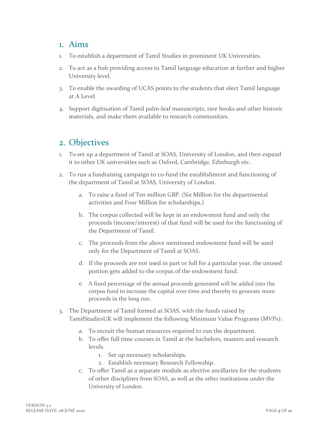### <span id="page-4-0"></span>1. Aims

- 1. To establish a department of Tamil Studies in prominent UK Universities.
- 2. To act as a hub providing access to Tamil language education at further and higher University level.
- 3. To enable the awarding of UCAS points to the students that elect Tamil language at A Level.
- 4. Support digitisation of Tamil palm-leaf manuscripts, rare books and other historic materials, and make them available to research communities.

## <span id="page-4-1"></span>2. Objectives

- 1. To set up a department of Tamil at SOAS, University of London, and then expand it to other UK universities such as Oxford, Cambridge, Edinburgh etc..
- 2. To run a fundraising campaign to co-fund the establishment and functioning of the department of Tamil at SOAS, University of London.
	- a. To raise a fund of Ten million GBP. (Six Million for the departmental activities and Four Million for scholarships.)
	- b. The corpus collected will be kept in an endowment fund and only the proceeds (income/interest) of that fund will be used for the functioning of the Department of Tamil.
	- c. The proceeds from the above mentioned endowment fund will be used only for the Department of Tamil at SOAS.
	- d. If the proceeds are not used in part or full for a particular year, the unused portion gets added to the corpus of the endowment fund.
	- e. A fixed percentage of the annual proceeds generated will be added into the corpus fund to increase the capital over time and thereby to generate more proceeds in the long run.
- 3. The Department of Tamil formed at SOAS, with the funds raised by TamilStudiesUK will implement the following Minimum Value Programs (MVPs):
	- a. To recruit the human resources required to run the department.
	- b. To offer full time courses in Tamil at the bachelors, masters and research levels.
		- 1. Set up necessary scholarships.
		- 2. Establish necessary Research Fellowship.
	- c. To offer Tamil as a separate module as elective ancillaries for the students of other disciplines from SOAS, as well as the other institutions under the University of London.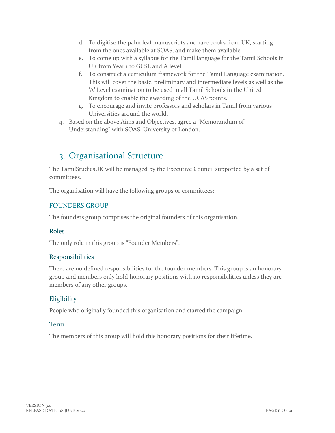- d. To digitise the palm leaf manuscripts and rare books from UK, starting from the ones available at SOAS, and make them available.
- e. To come up with a syllabus for the Tamil language for the Tamil Schools in UK from Year 1 to GCSE and A level. .
- f. To construct a curriculum framework for the Tamil Language examination. This will cover the basic, preliminary and intermediate levels as well as the 'A' Level examination to be used in all Tamil Schools in the United Kingdom to enable the awarding of the UCAS points.
- g. To encourage and invite professors and scholars in Tamil from various Universities around the world.
- <span id="page-5-0"></span>4. Based on the above Aims and Objectives, agree a "Memorandum of Understanding" with SOAS, University of London.

# 3. Organisational Structure

The TamilStudiesUK will be managed by the Executive Council supported by a set of committees.

The organisation will have the following groups or committees:

#### <span id="page-5-1"></span>FOUNDERS GROUP

The founders group comprises the original founders of this organisation.

#### <span id="page-5-2"></span>Roles

The only role in this group is "Founder Members".

#### <span id="page-5-3"></span>Responsibilities

There are no defined responsibilities for the founder members. This group is an honorary group and members only hold honorary positions with no responsibilities unless they are members of any other groups.

#### <span id="page-5-4"></span>**Eligibility**

People who originally founded this organisation and started the campaign.

#### <span id="page-5-5"></span>Term

The members of this group will hold this honorary positions for their lifetime.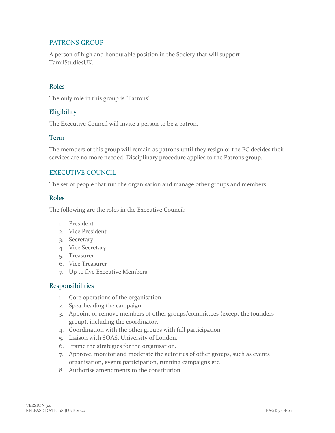#### <span id="page-6-0"></span>PATRONS GROUP

A person of high and honourable position in the Society that will support TamilStudiesUK.

#### <span id="page-6-1"></span>Roles

The only role in this group is "Patrons".

#### <span id="page-6-2"></span>Eligibility

The Executive Council will invite a person to be a patron.

#### <span id="page-6-3"></span>Term

The members of this group will remain as patrons until they resign or the EC decides their services are no more needed. Disciplinary procedure applies to the Patrons group.

#### <span id="page-6-4"></span>EXECUTIVE COUNCIL

The set of people that run the organisation and manage other groups and members.

#### <span id="page-6-5"></span>Roles

The following are the roles in the Executive Council:

- 1. President
- 2. Vice President
- 3. Secretary
- 4. Vice Secretary
- 5. Treasurer
- 6. Vice Treasurer
- 7. Up to five Executive Members

#### <span id="page-6-6"></span>Responsibilities

- 1. Core operations of the organisation.
- 2. Spearheading the campaign.
- 3. Appoint or remove members of other groups/committees (except the founders group), including the coordinator.
- 4. Coordination with the other groups with full participation
- 5. Liaison with SOAS, University of London.
- 6. Frame the strategies for the organisation.
- 7. Approve, monitor and moderate the activities of other groups, such as events organisation, events participation, running campaigns etc.
- 8. Authorise amendments to the constitution.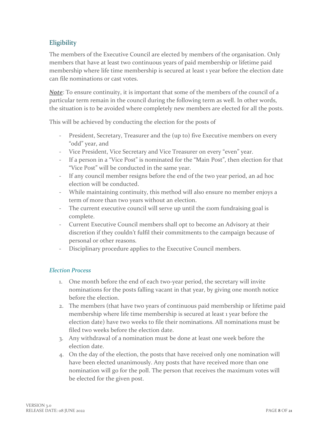#### <span id="page-7-0"></span>**Eligibility**

The members of the Executive Council are elected by members of the organisation. Only members that have at least two continuous years of paid membership or lifetime paid membership where life time membership is secured at least 1 year before the election date can file nominations or cast votes.

**Note**: To ensure continuity, it is important that some of the members of the council of a particular term remain in the council during the following term as well. In other words, the situation is to be avoided where completely new members are elected for all the posts.

This will be achieved by conducting the election for the posts of

- President, Secretary, Treasurer and the (up to) five Executive members on every "odd" year, and
- Vice President, Vice Secretary and Vice Treasurer on every "even" year.
- If a person in a "Vice Post" is nominated for the "Main Post", then election for that "Vice Post" will be conducted in the same year.
- If any council member resigns before the end of the two year period, an ad hoc election will be conducted.
- While maintaining continuity, this method will also ensure no member enjoys a term of more than two years without an election.
- The current executive council will serve up until the *£*10m fundraising goal is complete.
- Current Executive Council members shall opt to become an Advisory at their discretion if they couldn't fulfil their commitments to the campaign because of personal or other reasons.
- Disciplinary procedure applies to the Executive Council members.

#### <span id="page-7-1"></span>*Election Process*

- 1. One month before the end of each two-year period, the secretary will invite nominations for the posts falling vacant in that year, by giving one month notice before the election.
- 2. The members (that have two years of continuous paid membership or lifetime paid membership where life time membership is secured at least 1 year before the election date) have two weeks to file their nominations. All nominations must be filed two weeks before the election date.
- 3. Any withdrawal of a nomination must be done at least one week before the election date.
- 4. On the day of the election, the posts that have received only one nomination will have been elected unanimously. Any posts that have received more than one nomination will go for the poll. The person that receives the maximum votes will be elected for the given post.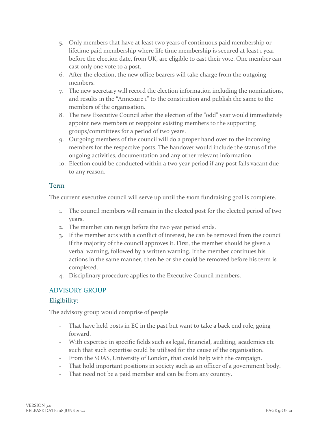- 5. Only members that have at least two years of continuous paid membership or lifetime paid membership where life time membership is secured at least 1 year before the election date, from UK, are eligible to cast their vote. One member can cast only one vote to a post.
- 6. After the election, the new office bearers will take charge from the outgoing members.
- 7. The new secretary will record the election information including the nominations, and results in the "Annexure 1" to the constitution and publish the same to the members of the organisation.
- 8. The new Executive Council after the election of the "odd" year would immediately appoint new members or reappoint existing members to the supporting groups/committees for a period of two years.
- 9. Outgoing members of the council will do a proper hand over to the incoming members for the respective posts. The handover would include the status of the ongoing activities, documentation and any other relevant information.
- 10. Election could be conducted within a two year period if any post falls vacant due to any reason.

#### <span id="page-8-0"></span>Term

The current executive council will serve up until the  $\epsilon$ 10m fundraising goal is complete.

- 1. The council members will remain in the elected post for the elected period of two years.
- 2. The member can resign before the two year period ends.
- 3. If the member acts with a conflict of interest, he can be removed from the council if the majority of the council approves it. First, the member should be given a verbal warning, followed by a written warning. If the member continues his actions in the same manner, then he or she could be removed before his term is completed.
- 4. Disciplinary procedure applies to the Executive Council members.

#### <span id="page-8-1"></span>ADVISORY GROUP

#### <span id="page-8-2"></span>Eligibility:

The advisory group would comprise of people

- That have held posts in EC in the past but want to take a back end role, going forward.
- With expertise in specific fields such as legal, financial, auditing, academics etc such that such expertise could be utilised for the cause of the organisation.
- From the SOAS, University of London, that could help with the campaign.
- That hold important positions in society such as an officer of a government body.
- That need not be a paid member and can be from any country.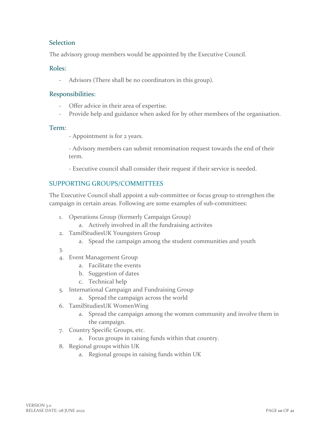#### <span id="page-9-0"></span>Selection

The advisory group members would be appointed by the Executive Council.

#### <span id="page-9-1"></span>Roles:

- Advisors (There shall be no coordinators in this group).

#### <span id="page-9-2"></span>Responsibilities:

- Offer advice in their area of expertise.
- Provide help and guidance when asked for by other members of the organisation.

#### <span id="page-9-3"></span>Term:

- Appointment is for 2 years.

- Advisory members can submit renomination request towards the end of their term.

- Executive council shall consider their request if their service is needed.

#### <span id="page-9-4"></span>SUPPORTING GROUPS/COMMITTEES

The Executive Council shall appoint a sub-committee or focus group to strengthen the campaign in certain areas. Following are some examples of sub-committees:

- 1. Operations Group (formerly Campaign Group)
	- a. Actively involved in all the fundraising activites
- 2. TamilStudiesUK Youngsters Group
	- a. Spead the campaign among the student communities and youth
- 3.
- 4. Event Management Group
	- a. Facilitate the events
	- b. Suggestion of dates
	- c. Technical help
- 5. International Campaign and Fundraising Group
	- a. Spread the campaign across the world
- 6. TamilStudiesUK WomenWing
	- a. Spread the campaign among the women community and involve them in the campaign.
- 7. Country Specific Groups, etc.
	- a. Focus groups in raising funds within that country.
- 8. Regional groups within UK
	- a. Regional groups in raising funds within UK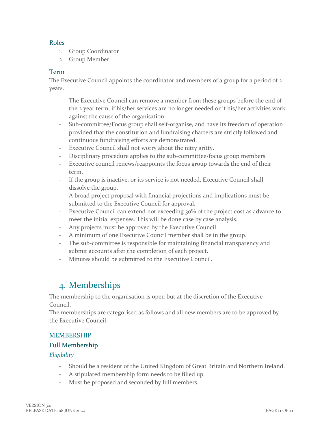#### <span id="page-10-0"></span>Roles

- 1. Group Coordinator
- 2. Group Member

#### <span id="page-10-1"></span>Term

The Executive Council appoints the coordinator and members of a group for a period of 2 years.

- The Executive Council can remove a member from these groups before the end of the 2 year term, if his/her services are no longer needed or if his/her activities work against the cause of the organisation.
- Sub-committee/Focus group shall self-organise, and have its freedom of operation provided that the constitution and fundraising charters are strictly followed and continuous fundraising efforts are demonstrated.
- Executive Council shall not worry about the nitty gritty.
- Disciplinary procedure applies to the sub-committee/focus group members.
- Executive council renews/reappoints the focus group towards the end of their term.
- If the group is inactive, or its service is not needed, Executive Council shall dissolve the group.
- A broad project proposal with financial projections and implications must be submitted to the Executive Council for approval.
- Executive Council can extend not exceeding 30% of the project cost as advance to meet the initial expenses. This will be done case by case analysis.
- Any projects must be approved by the Executive Council.
- A minimum of one Executive Council member shall be in the group.
- The sub-committee is responsible for maintaining financial transparency and submit accounts after the completion of each project.
- <span id="page-10-2"></span>Minutes should be submitted to the Executive Council.

# 4. Memberships

The membership to the organisation is open but at the discretion of the Executive Council.

The memberships are categorised as follows and all new members are to be approved by the Executive Council:

#### <span id="page-10-3"></span>MEMBERSHIP

#### <span id="page-10-4"></span>Full Membership

#### <span id="page-10-5"></span>*Eligibility*

- Should be a resident of the United Kingdom of Great Britain and Northern Ireland.
- A stipulated membership form needs to be filled up.
- Must be proposed and seconded by full members.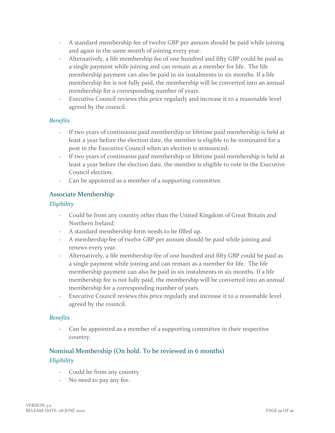- A standard membership fee of twelve GBP per annum should be paid while joining and again in the same month of joining every year.
- Alternatively, a life membership fee of one hundred and fifty GBP could be paid as a single payment while joining and can remain as a member for life. The life membership payment can also be paid in six instalments in six months. If a life membership fee is not fully paid, the membership will be converted into an annual membership for a corresponding number of years.
- Executive Council reviews this price regularly and increase it to a reasonable level agreed by the council.

#### <span id="page-11-0"></span>*Benefits*

- If two years of continuous paid membership or lifetime paid membership is held at least a year before the election date, the member is eligible to be nominated for a post in the Executive Council when an election is announced.
- If two years of continuous paid membership or lifetime paid membership is held at least a year before the election date, the member is eligible to vote in the Executive Council election.
- Can be appointed as a member of a supporting committee.

#### <span id="page-11-1"></span>Associate Membership

#### <span id="page-11-2"></span>*Eligibility*

- Could be from any country other than the United Kingdom of Great Britain and Northern Ireland.
- A standard membership form needs to be filled up.
- A membership fee of twelve GBP per annum should be paid while joining and renews every year.
- Alternatively, a life membership fee of one hundred and fifty GBP could be paid as a single payment while joining and can remain as a member for life. The life membership payment can also be paid in six instalments in six months. If a life membership fee is not fully paid, the membership will be converted into an annual membership for a corresponding number of years.
- Executive Council reviews this price regularly and increase it to a reasonable level agreed by the council.

#### <span id="page-11-3"></span>*Benefits*

- Can be appointed as a member of a supporting committee in their respective country.

#### <span id="page-11-5"></span><span id="page-11-4"></span>Nominal Membership (On hold. To be reviewed in 6 months) *Eligibility*

- Could be from any country
- No need to pay any fee.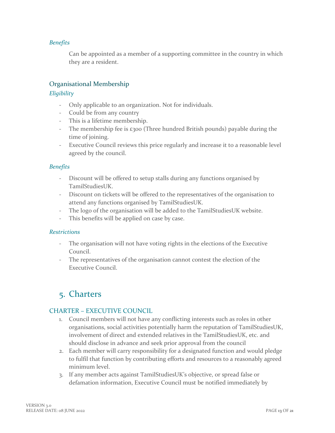#### <span id="page-12-0"></span>*Benefits*

Can be appointed as a member of a supporting committee in the country in which they are a resident.

#### <span id="page-12-1"></span>Organisational Membership

#### <span id="page-12-2"></span>*Eligibility*

- Only applicable to an organization. Not for individuals.
- Could be from any country
- This is a lifetime membership.
- The membership fee is  $\epsilon$ 300 (Three hundred British pounds) payable during the time of joining.
- Executive Council reviews this price regularly and increase it to a reasonable level agreed by the council.

#### <span id="page-12-3"></span>*Benefits*

- Discount will be offered to setup stalls during any functions organised by TamilStudiesUK.
- Discount on tickets will be offered to the representatives of the organisation to attend any functions organised by TamilStudiesUK.
- The logo of the organisation will be added to the TamilStudiesUK website.
- This benefits will be applied on case by case.

#### <span id="page-12-4"></span>*Restrictions*

- The organisation will not have voting rights in the elections of the Executive Council.
- The representatives of the organisation cannot contest the election of the Executive Council.

# <span id="page-12-5"></span>5. Charters

#### <span id="page-12-6"></span>CHARTER – EXECUTIVE COUNCIL

- 1. Council members will not have any conflicting interests such as roles in other organisations, social activities potentially harm the reputation of TamilStudiesUK, involvement of direct and extended relatives in the TamilStudiesUK, etc. and should disclose in advance and seek prior approval from the council
- 2. Each member will carry responsibility for a designated function and would pledge to fulfil that function by contributing efforts and resources to a reasonably agreed minimum level.
- 3. If any member acts against TamilStudiesUK's objective, or spread false or defamation information, Executive Council must be notified immediately by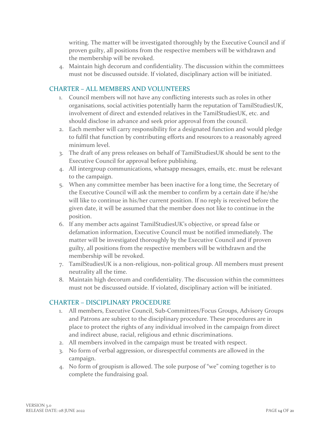writing. The matter will be investigated thoroughly by the Executive Council and if proven guilty, all positions from the respective members will be withdrawn and the membership will be revoked.

4. Maintain high decorum and confidentiality. The discussion within the committees must not be discussed outside. If violated, disciplinary action will be initiated.

#### <span id="page-13-0"></span>CHARTER – ALL MEMBERS AND VOLUNTEERS

- 1. Council members will not have any conflicting interests such as roles in other organisations, social activities potentially harm the reputation of TamilStudiesUK, involvement of direct and extended relatives in the TamilStudiesUK, etc. and should disclose in advance and seek prior approval from the council.
- 2. Each member will carry responsibility for a designated function and would pledge to fulfil that function by contributing efforts and resources to a reasonably agreed minimum level.
- 3. The draft of any press releases on behalf of TamilStudiesUK should be sent to the Executive Council for approval before publishing.
- 4. All intergroup communications, whatsapp messages, emails, etc. must be relevant to the campaign.
- 5. When any committee member has been inactive for a long time, the Secretary of the Executive Council will ask the member to confirm by a certain date if he/she will like to continue in his/her current position. If no reply is received before the given date, it will be assumed that the member does not like to continue in the position.
- 6. If any member acts against TamilStudiesUK's objective, or spread false or defamation information, Executive Council must be notified immediately. The matter will be investigated thoroughly by the Executive Council and if proven guilty, all positions from the respective members will be withdrawn and the membership will be revoked.
- 7. TamilStudiesUK is a non-religious, non-political group. All members must present neutrality all the time.
- 8. Maintain high decorum and confidentiality. The discussion within the committees must not be discussed outside. If violated, disciplinary action will be initiated.

#### <span id="page-13-1"></span>CHARTER – DISCIPLINARY PROCEDURE

- 1. All members, Executive Council, Sub-Committees/Focus Groups, Advisory Groups and Patrons are subject to the disciplinary procedure. These procedures are in place to protect the rights of any individual involved in the campaign from direct and indirect abuse, racial, religious and ethnic discriminations.
- 2. All members involved in the campaign must be treated with respect.
- 3. No form of verbal aggression, or disrespectful comments are allowed in the campaign.
- 4. No form of groupism is allowed. The sole purpose of "we" coming together is to complete the fundraising goal.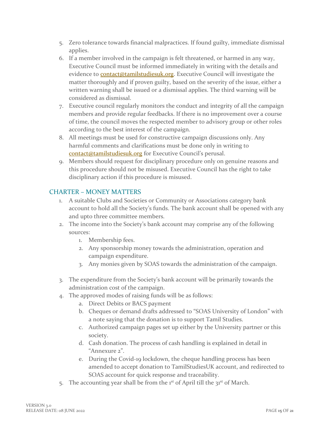- 5. Zero tolerance towards financial malpractices. If found guilty, immediate dismissal applies.
- 6. If a member involved in the campaign is felt threatened, or harmed in any way, Executive Council must be informed immediately in writing with the details and evidence to [contact@tamilstudiesuk.org.](mailto:contact@tamilstudiesuk.org) Executive Council will investigate the matter thoroughly and if proven guilty, based on the severity of the issue, either a written warning shall be issued or a dismissal applies. The third warning will be considered as dismissal.
- 7. Executive council regularly monitors the conduct and integrity of all the campaign members and provide regular feedbacks. If there is no improvement over a course of time, the council moves the respected member to advisory group or other roles according to the best interest of the campaign.
- 8. All meetings must be used for constructive campaign discussions only. Any harmful comments and clarifications must be done only in writing to [contact@tamilstudiesuk.org](mailto:contact@tamilstudiesuk.org) for Executive Council's perusal.
- 9. Members should request for disciplinary procedure only on genuine reasons and this procedure should not be misused. Executive Council has the right to take disciplinary action if this procedure is misused.

#### <span id="page-14-0"></span>CHARTER – MONEY MATTERS

- 1. A suitable Clubs and Societies or Community or Associations category bank account to hold all the Society's funds. The bank account shall be opened with any and upto three committee members.
- 2. The income into the Society's bank account may comprise any of the following sources:
	- 1. Membership fees.
	- 2. Any sponsorship money towards the administration, operation and campaign expenditure.
	- 3. Any monies given by SOAS towards the administration of the campaign.
- 3. The expenditure from the Society's bank account will be primarily towards the administration cost of the campaign.
- 4. The approved modes of raising funds will be as follows:
	- a. Direct Debits or BACS payment
	- b. Cheques or demand drafts addressed to "SOAS University of London" with a note saying that the donation is to support Tamil Studies.
	- c. Authorized campaign pages set up either by the University partner or this society.
	- d. Cash donation. The process of cash handling is explained in detail in "Annexure 2".
	- e. During the Covid-19 lockdown, the cheque handling process has been amended to accept donation to TamilStudiesUK account, and redirected to SOAS account for quick response and traceability.
- 5. The accounting year shall be from the  $1<sup>st</sup>$  of April till the  $3<sup>st</sup>$  of March.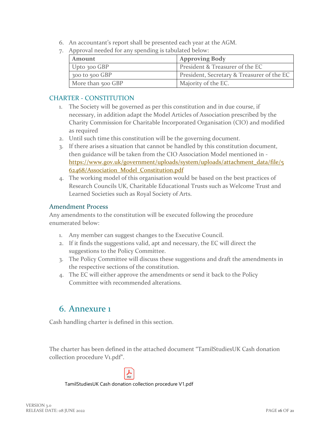- 6. An accountant's report shall be presented each year at the AGM.
- 7. Approval needed for any spending is tabulated below:

| <b>Amount</b>      | <b>Approving Body</b>                      |
|--------------------|--------------------------------------------|
| Upto 300 GBP       | President & Treasurer of the EC            |
| $300$ to $500$ GBP | President, Secretary & Treasurer of the EC |
| More than 500 GBP  | Majority of the EC.                        |

#### <span id="page-15-0"></span>CHARTER - CONSTITUTION

- 1. The Society will be governed as per this constitution and in due course, if necessary, in addition adapt the Model Articles of Association prescribed by the Charity Commission for Charitable Incorporated Organisation (CIO) and modified as required
- 2. Until such time this constitution will be the governing document.
- 3. If there arises a situation that cannot be handled by this constitution document, then guidance will be taken from the CIO Association Model mentioned in [https://www.gov.uk/government/uploads/system/uploads/attachment\\_data/file/5](https://www.gov.uk/government/uploads/system/uploads/attachment_data/file/562468/Association_Model_Constitution.pdf) [62468/Association\\_Model\\_Constitution.pdf](https://www.gov.uk/government/uploads/system/uploads/attachment_data/file/562468/Association_Model_Constitution.pdf)
- 4. The working model of this organisation would be based on the best practices of Research Councils UK, Charitable Educational Trusts such as Welcome Trust and Learned Societies such as Royal Society of Arts.

#### <span id="page-15-1"></span>Amendment Process

Any amendments to the constitution will be executed following the procedure enumerated below:

- 1. Any member can suggest changes to the Executive Council.
- 2. If it finds the suggestions valid, apt and necessary, the EC will direct the suggestions to the Policy Committee.
- 3. The Policy Committee will discuss these suggestions and draft the amendments in the respective sections of the constitution.
- 4. The EC will either approve the amendments or send it back to the Policy Committee with recommended alterations.

### <span id="page-15-2"></span>6. Annexure 1

Cash handling charter is defined in this section.

The charter has been defined in the attached document "TamilStudiesUK Cash donation collection procedure V1.pdf".

TamilStudiesUK Cash donation collection procedure V1.pdf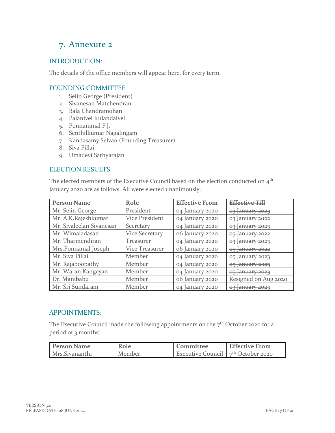# <span id="page-16-0"></span>7. Annexure 2

#### <span id="page-16-1"></span>INTRODUCTION:

The details of the office members will appear here, for every term.

#### <span id="page-16-2"></span>FOUNDING COMMITTEE

- 1. Selin George (President)
- 2. Sivanesan Matchendran
- 3. Bala Chandramohan
- 4. Palanivel Kulandaivel
- 5. Ponnammal F.J.
- 6. Senthilkumar Nagalingam
- 7. Kandasamy Selvan (Founding Treasurer)
- 8. Siva Pillai
- 9. Umadevi Sathyarajan

#### <span id="page-16-3"></span>ELECTION RESULTS:

The elected members of the Executive Council based on the election conducted on  $4^{\text{th}}$ January 2020 are as follows. All were elected unanimously.

| <b>Person Name</b>       | Role                  | <b>Effective From</b> | <b>Effective Till</b> |
|--------------------------|-----------------------|-----------------------|-----------------------|
| Mr. Selin George         | President             | 04 January 2020       | 03 January 2023       |
| Mr. A.K.Rajeshkumar      | <b>Vice President</b> | 04 January 2020       | 03 January 2022       |
| Mr. Sivaleelan Sivanesan | Secretary             | 04 January 2020       | 03 January 2023       |
| Mr. Wimaladasan          | <b>Vice Secretary</b> | 06 January 2020       | 05 January 2022       |
| Mr. Tharmendiran         | <b>Treasurer</b>      | 04 January 2020       | 03 January 2023       |
| Mrs.Ponnamal Joseph      | Vice Treasurer        | 06 January 2020       | 05 January 2022       |
| Mr. Siva Pillai          | Member                | 04 January 2020       | 05 January 2023       |
| Mr. Rajaboopathy         | Member                | 04 January 2020       | 05 January 2023       |
| Mr. Waran Kangeyan       | Member                | 04 January 2020       | 05 January 2023       |
| Dr. Manibabu             | Member                | 06 January 2020       | Resigned on Aug 2020  |
| Mr. Sri Sundaram         | Member                | 04 January 2020       | 03 January 2023       |

#### <span id="page-16-4"></span>APPOINTMENTS:

The Executive Council made the following appointments on the  $7<sup>th</sup>$  October 2020 for a period of 3 months:

| <b>Person Name</b> | Role   | Committee                            | <b>Effective From</b> |
|--------------------|--------|--------------------------------------|-----------------------|
| Mrs.Sivananthi     | Member | Executive Council $7th$ October 2020 |                       |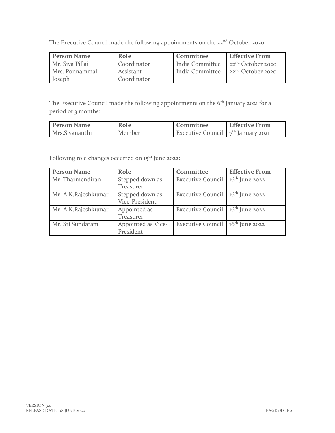The Executive Council made the following appointments on the 22<sup>nd</sup> October 2020:

| <b>Person Name</b> | Role        | Committee       | <b>Effective From</b>                |
|--------------------|-------------|-----------------|--------------------------------------|
| Mr. Siva Pillai    | Coordinator | India Committee | $\sim$ 22 <sup>nd</sup> October 2020 |
| Mrs. Ponnammal     | Assistant   | India Committee | 22 <sup>nd</sup> October 2020        |
| Joseph             | Coordinator |                 |                                      |

The Executive Council made the following appointments on the 6<sup>th</sup> January 2021 for a period of 3 months:

| <b>Person Name</b> | Role   | Committee                            | <b>Effective From</b> |
|--------------------|--------|--------------------------------------|-----------------------|
| Mrs.Sivananthi     | Member | Executive Council $7th$ January 2021 |                       |

Following role changes occurred on 15<sup>th</sup> June 2022:

| <b>Person Name</b>  | Role               | Committee                                    | <b>Effective From</b> |
|---------------------|--------------------|----------------------------------------------|-----------------------|
| Mr. Tharmendiran    | Stepped down as    | <b>Executive Council</b>                     | $16th$ June 2022      |
|                     | Treasurer          |                                              |                       |
| Mr. A.K.Rajeshkumar | Stepped down as    | Executive Council 16 <sup>th</sup> June 2022 |                       |
|                     | Vice-President     |                                              |                       |
| Mr. A.K.Rajeshkumar | Appointed as       | Executive Council 16 <sup>th</sup> June 2022 |                       |
|                     | Treasurer          |                                              |                       |
| Mr. Sri Sundaram    | Appointed as Vice- | Executive Council 16 <sup>th</sup> June 2022 |                       |
|                     | President          |                                              |                       |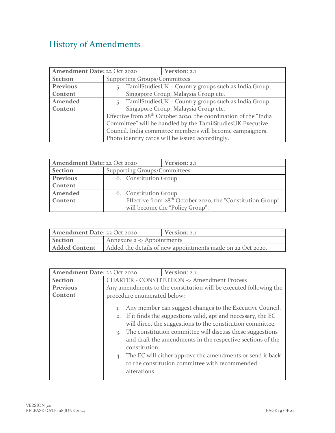# <span id="page-18-0"></span>History of Amendments

| Amendment Date: 22 Oct 2020 |                                                                              | Version: 2.1 |  |
|-----------------------------|------------------------------------------------------------------------------|--------------|--|
| <b>Section</b>              | <b>Supporting Groups/Committees</b>                                          |              |  |
| Previous                    | 5. TamilStudiesUK - Country groups such as India Group,                      |              |  |
| Content                     | Singapore Group, Malaysia Group etc.                                         |              |  |
| Amended                     | 5. TamilStudiesUK - Country groups such as India Group,                      |              |  |
| Content                     | Singapore Group, Malaysia Group etc.                                         |              |  |
|                             | Effective from 28 <sup>th</sup> October 2020, the coordination of the "India |              |  |
|                             | Committee" will be handled by the TamilStudiesUK Executive                   |              |  |
|                             | Council. India committee members will become campaigners.                    |              |  |
|                             | Photo identity cards will be issued accordingly.                             |              |  |

| Amendment Date: 22 Oct 2020                           |                                                                        | Version: 2.1                    |
|-------------------------------------------------------|------------------------------------------------------------------------|---------------------------------|
| <b>Section</b><br><b>Supporting Groups/Committees</b> |                                                                        |                                 |
| Previous                                              | 6. Constitution Group                                                  |                                 |
| Content                                               |                                                                        |                                 |
| Amended                                               | 6. Constitution Group                                                  |                                 |
| Content                                               | Effective from 28 <sup>th</sup> October 2020, the "Constitution Group" |                                 |
|                                                       |                                                                        | will become the "Policy Group". |

| <b>Amendment Date: 22 Oct 2020</b>                                                 |  | Version: 2.1 |
|------------------------------------------------------------------------------------|--|--------------|
| <b>Section</b><br>Annexure $2 \rightarrow$ Appointments                            |  |              |
| <b>Added Content</b><br>Added the details of new appointments made on 22 Oct 2020. |  |              |

| Amendment Date: 22 Oct 2020 |                                                                                                                                                                                                                                                                                                                                                                                                                                                                                     | Version: 2.1 |
|-----------------------------|-------------------------------------------------------------------------------------------------------------------------------------------------------------------------------------------------------------------------------------------------------------------------------------------------------------------------------------------------------------------------------------------------------------------------------------------------------------------------------------|--------------|
| <b>Section</b>              | <b>CHARTER - CONSTITUTION -&gt; Amendment Process</b>                                                                                                                                                                                                                                                                                                                                                                                                                               |              |
| <b>Previous</b>             | Any amendments to the constitution will be executed following the                                                                                                                                                                                                                                                                                                                                                                                                                   |              |
| Content                     | procedure enumerated below:                                                                                                                                                                                                                                                                                                                                                                                                                                                         |              |
|                             | Any member can suggest changes to the Executive Council.<br>1.<br>2. If it finds the suggestions valid, apt and necessary, the EC<br>will direct the suggestions to the constitution committee.<br>The constitution committee will discuss these suggestions<br>3.<br>and draft the amendments in the respective sections of the<br>constitution.<br>4. The EC will either approve the amendments or send it back<br>to the constitution committee with recommended<br>alterations. |              |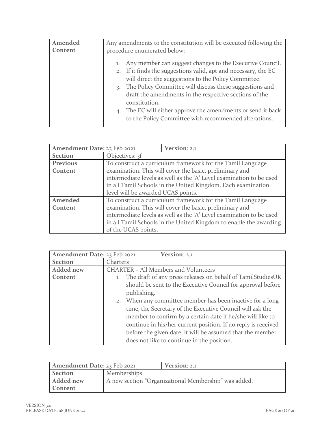| Amended | Any amendments to the constitution will be executed following the                                                                                                                                                                                                                                                                                                                                                                                                           |  |
|---------|-----------------------------------------------------------------------------------------------------------------------------------------------------------------------------------------------------------------------------------------------------------------------------------------------------------------------------------------------------------------------------------------------------------------------------------------------------------------------------|--|
| Content | procedure enumerated below:                                                                                                                                                                                                                                                                                                                                                                                                                                                 |  |
|         | Any member can suggest changes to the Executive Council.<br>1.<br>2. If it finds the suggestions valid, apt and necessary, the EC<br>will direct the suggestions to the Policy Committee.<br>The Policy Committee will discuss these suggestions and<br>$\mathcal{R}$ .<br>draft the amendments in the respective sections of the<br>constitution.<br>4. The EC will either approve the amendments or send it back<br>to the Policy Committee with recommended alterations. |  |

| Amendment Date: 23 Feb 2021 |                                                                     | Version: 2.1                                                        |
|-----------------------------|---------------------------------------------------------------------|---------------------------------------------------------------------|
| <b>Section</b>              | Objectives: 3f                                                      |                                                                     |
| <b>Previous</b>             | To construct a curriculum framework for the Tamil Language          |                                                                     |
| Content                     | examination. This will cover the basic, preliminary and             |                                                                     |
|                             | intermediate levels as well as the 'A' Level examination to be used |                                                                     |
|                             | in all Tamil Schools in the United Kingdom. Each examination        |                                                                     |
|                             | level will be awarded UCAS points.                                  |                                                                     |
| Amended                     | To construct a curriculum framework for the Tamil Language          |                                                                     |
| Content                     | examination. This will cover the basic, preliminary and             |                                                                     |
|                             |                                                                     | intermediate levels as well as the 'A' Level examination to be used |
|                             |                                                                     | in all Tamil Schools in the United Kingdom to enable the awarding   |
|                             | of the UCAS points.                                                 |                                                                     |

| Amendment Date: 23 Feb 2021 |                                                                            | Version: 2.1                                                  |
|-----------------------------|----------------------------------------------------------------------------|---------------------------------------------------------------|
| <b>Section</b>              | Charters                                                                   |                                                               |
| <b>Added</b> new            | <b>CHARTER - All Members and Volunteers</b>                                |                                                               |
| Content                     | The draft of any press releases on behalf of TamilStudiesUK<br>1.          |                                                               |
|                             | should be sent to the Executive Council for approval before<br>publishing. |                                                               |
|                             |                                                                            |                                                               |
|                             |                                                                            | 2. When any committee member has been inactive for a long     |
|                             |                                                                            | time, the Secretary of the Executive Council will ask the     |
|                             |                                                                            | member to confirm by a certain date if he/she will like to    |
|                             |                                                                            | continue in his/her current position. If no reply is received |
|                             |                                                                            | before the given date, it will be assumed that the member     |
|                             |                                                                            | does not like to continue in the position.                    |

| Amendment Date: 23 Feb 2021 |                                                      | Version: 2.1 |
|-----------------------------|------------------------------------------------------|--------------|
| <b>Section</b>              | Memberships                                          |              |
| <b>Added new</b>            | A new section "Organizational Membership" was added. |              |
| Content                     |                                                      |              |